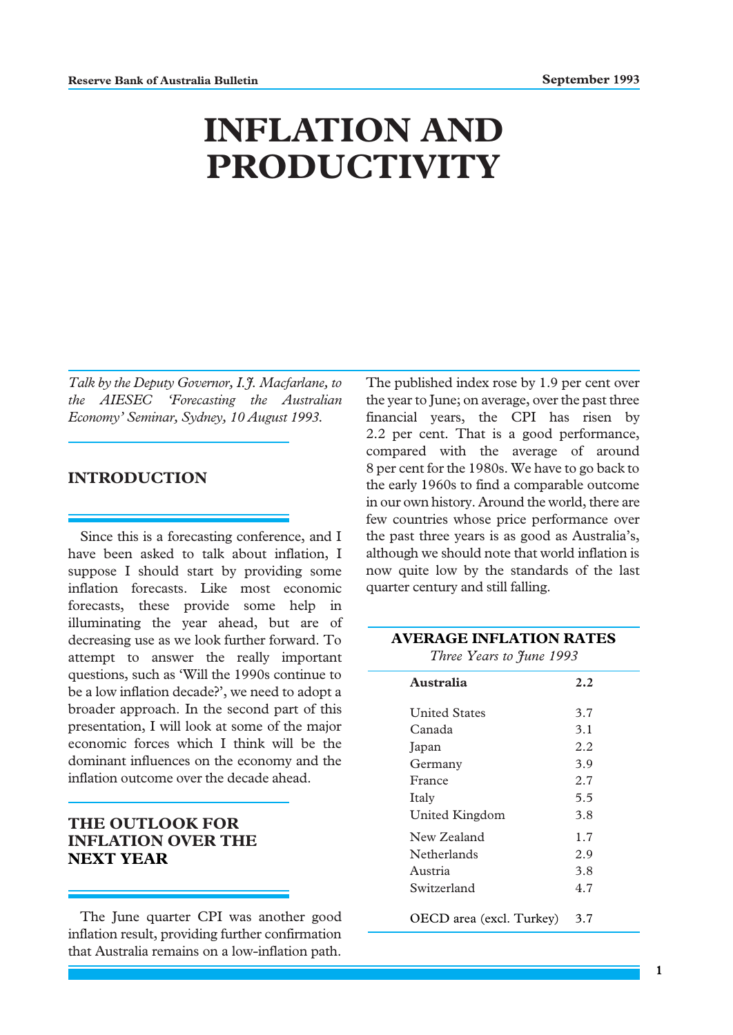# **INFLATION AND PRODUCTIVITY**

*Talk by the Deputy Governor, I.J. Macfarlane, to the AIESEC 'Forecasting the Australian Economy' Seminar, Sydney, 10 August 1993.*

# **INTRODUCTION**

Since this is a forecasting conference, and I have been asked to talk about inflation, I suppose I should start by providing some inflation forecasts. Like most economic forecasts, these provide some help in illuminating the year ahead, but are of decreasing use as we look further forward. To attempt to answer the really important questions, such as 'Will the 1990s continue to be a low inflation decade?', we need to adopt a broader approach. In the second part of this presentation, I will look at some of the major economic forces which I think will be the dominant influences on the economy and the inflation outcome over the decade ahead.

# **THE OUTLOOK FOR INFLATION OVER THE NEXT YEAR**

The June quarter CPI was another good inflation result, providing further confirmation that Australia remains on a low-inflation path.

The published index rose by 1.9 per cent over the year to June; on average, over the past three financial years, the CPI has risen by 2.2 per cent. That is a good performance, compared with the average of around 8 per cent for the 1980s. We have to go back to the early 1960s to find a comparable outcome in our own history. Around the world, there are few countries whose price performance over the past three years is as good as Australia's, although we should note that world inflation is now quite low by the standards of the last quarter century and still falling.

| <b>AVERAGE INFLATION RATES</b><br>Three Years to June 1993 |     |
|------------------------------------------------------------|-----|
| Australia                                                  | 2.2 |
| <b>United States</b>                                       | 3.7 |
| Canada                                                     | 3.1 |
| Japan                                                      | 2.2 |
| Germany                                                    | 3.9 |
| France                                                     | 2.7 |
| Italy                                                      | 5.5 |
| United Kingdom                                             | 3.8 |
| New Zealand                                                | 1.7 |
| Netherlands                                                | 2.9 |
| Austria                                                    | 3.8 |
| Switzerland                                                | 4.7 |
| OECD area (excl. Turkey)                                   | 3.7 |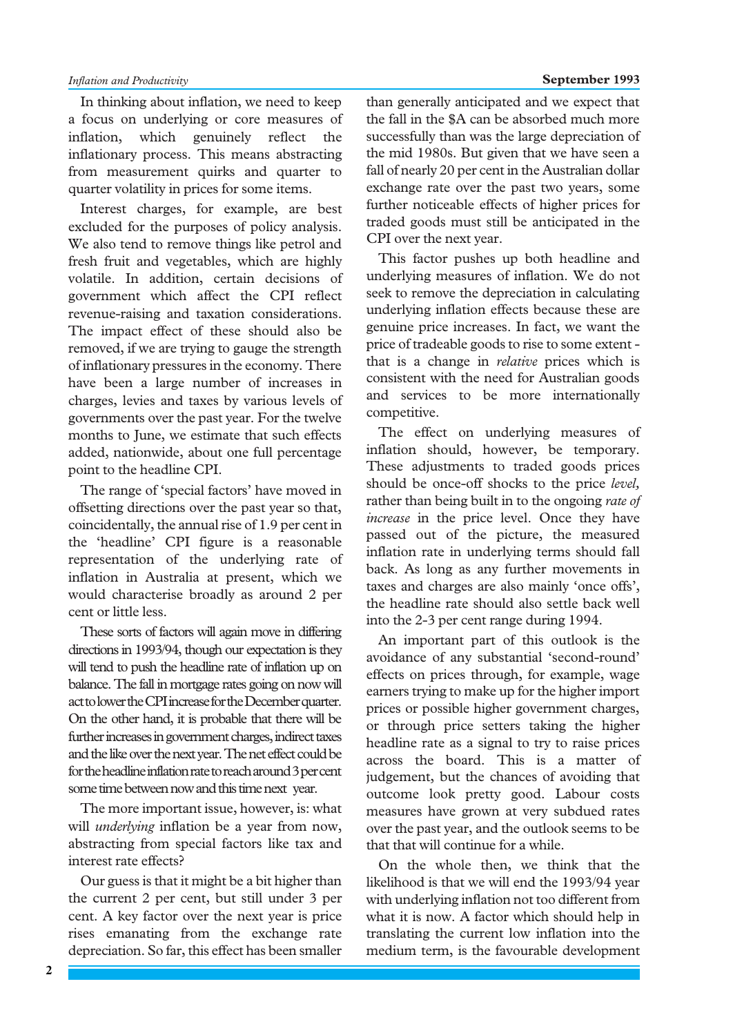In thinking about inflation, we need to keep a focus on underlying or core measures of inflation, which genuinely reflect the inflationary process. This means abstracting from measurement quirks and quarter to quarter volatility in prices for some items.

Interest charges, for example, are best excluded for the purposes of policy analysis. We also tend to remove things like petrol and fresh fruit and vegetables, which are highly volatile. In addition, certain decisions of government which affect the CPI reflect revenue-raising and taxation considerations. The impact effect of these should also be removed, if we are trying to gauge the strength of inflationary pressures in the economy. There have been a large number of increases in charges, levies and taxes by various levels of governments over the past year. For the twelve months to June, we estimate that such effects added, nationwide, about one full percentage point to the headline CPI.

The range of 'special factors' have moved in offsetting directions over the past year so that, coincidentally, the annual rise of 1.9 per cent in the 'headline' CPI figure is a reasonable representation of the underlying rate of inflation in Australia at present, which we would characterise broadly as around 2 per cent or little less.

These sorts of factors will again move in differing directions in 1993/94, though our expectation is they will tend to push the headline rate of inflation up on balance. The fall in mortgage rates going on now will act to lower the CPI increase for the December quarter. On the other hand, it is probable that there will be further increases in government charges, indirect taxes and the like over the next year. The net effect could be for the headline inflation rate to reach around 3 per cent some time between now and this time next year.

The more important issue, however, is: what will *underlying* inflation be a year from now, abstracting from special factors like tax and interest rate effects?

Our guess is that it might be a bit higher than the current 2 per cent, but still under 3 per cent. A key factor over the next year is price rises emanating from the exchange rate depreciation. So far, this effect has been smaller than generally anticipated and we expect that the fall in the \$A can be absorbed much more successfully than was the large depreciation of the mid 1980s. But given that we have seen a fall of nearly 20 per cent in the Australian dollar exchange rate over the past two years, some further noticeable effects of higher prices for traded goods must still be anticipated in the CPI over the next year.

This factor pushes up both headline and underlying measures of inflation. We do not seek to remove the depreciation in calculating underlying inflation effects because these are genuine price increases. In fact, we want the price of tradeable goods to rise to some extent that is a change in *relative* prices which is consistent with the need for Australian goods and services to be more internationally competitive.

The effect on underlying measures of inflation should, however, be temporary. These adjustments to traded goods prices should be once-off shocks to the price *level,* rather than being built in to the ongoing *rate of increase* in the price level. Once they have passed out of the picture, the measured inflation rate in underlying terms should fall back. As long as any further movements in taxes and charges are also mainly 'once offs', the headline rate should also settle back well into the 2-3 per cent range during 1994.

An important part of this outlook is the avoidance of any substantial 'second-round' effects on prices through, for example, wage earners trying to make up for the higher import prices or possible higher government charges, or through price setters taking the higher headline rate as a signal to try to raise prices across the board. This is a matter of judgement, but the chances of avoiding that outcome look pretty good. Labour costs measures have grown at very subdued rates over the past year, and the outlook seems to be that that will continue for a while.

On the whole then, we think that the likelihood is that we will end the 1993/94 year with underlying inflation not too different from what it is now. A factor which should help in translating the current low inflation into the medium term, is the favourable development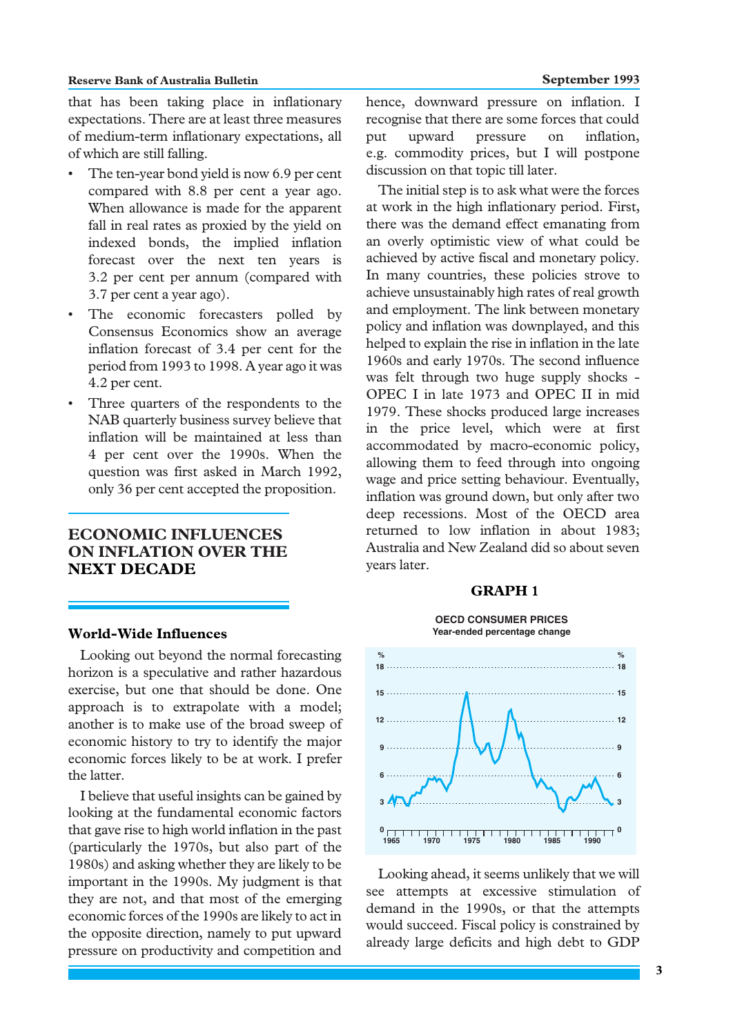that has been taking place in inflationary expectations. There are at least three measures of medium-term inflationary expectations, all of which are still falling.

- The ten-year bond yield is now 6.9 per cent compared with 8.8 per cent a year ago. When allowance is made for the apparent fall in real rates as proxied by the yield on indexed bonds, the implied inflation forecast over the next ten years is 3.2 per cent per annum (compared with 3.7 per cent a year ago).
- The economic forecasters polled by Consensus Economics show an average inflation forecast of 3.4 per cent for the period from 1993 to 1998. A year ago it was 4.2 per cent.
- Three quarters of the respondents to the NAB quarterly business survey believe that inflation will be maintained at less than 4 per cent over the 1990s. When the question was first asked in March 1992, only 36 per cent accepted the proposition.

# **ECONOMIC INFLUENCES ON INFLATION OVER THE NEXT DECADE**

#### **World-Wide Influences**

Looking out beyond the normal forecasting horizon is a speculative and rather hazardous exercise, but one that should be done. One approach is to extrapolate with a model; another is to make use of the broad sweep of economic history to try to identify the major economic forces likely to be at work. I prefer the latter.

I believe that useful insights can be gained by looking at the fundamental economic factors that gave rise to high world inflation in the past (particularly the 1970s, but also part of the 1980s) and asking whether they are likely to be important in the 1990s. My judgment is that they are not, and that most of the emerging economic forces of the 1990s are likely to act in the opposite direction, namely to put upward pressure on productivity and competition and hence, downward pressure on inflation. I recognise that there are some forces that could put upward pressure on inflation, e.g. commodity prices, but I will postpone discussion on that topic till later.

The initial step is to ask what were the forces at work in the high inflationary period. First, there was the demand effect emanating from an overly optimistic view of what could be achieved by active fiscal and monetary policy. In many countries, these policies strove to achieve unsustainably high rates of real growth and employment. The link between monetary policy and inflation was downplayed, and this helped to explain the rise in inflation in the late 1960s and early 1970s. The second influence was felt through two huge supply shocks - OPEC I in late 1973 and OPEC II in mid 1979. These shocks produced large increases in the price level, which were at first accommodated by macro-economic policy, allowing them to feed through into ongoing wage and price setting behaviour. Eventually, inflation was ground down, but only after two deep recessions. Most of the OECD area returned to low inflation in about 1983; Australia and New Zealand did so about seven years later.

## **GRAPH 1**



Looking ahead, it seems unlikely that we will see attempts at excessive stimulation of demand in the 1990s, or that the attempts would succeed. Fiscal policy is constrained by already large deficits and high debt to GDP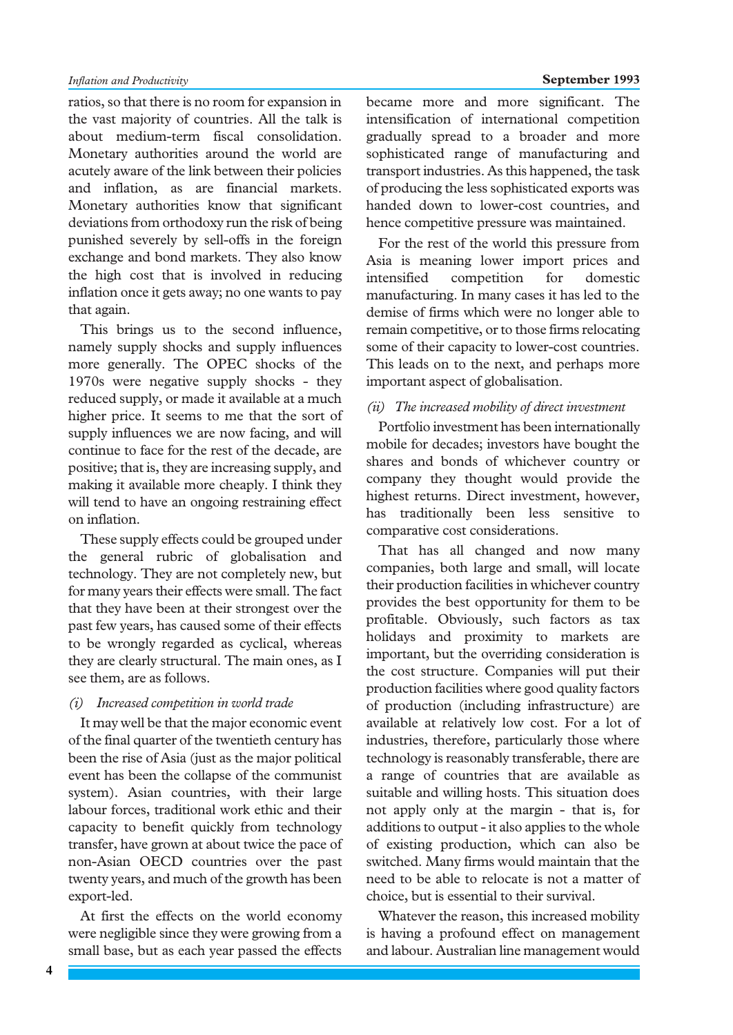ratios, so that there is no room for expansion in the vast majority of countries. All the talk is about medium-term fiscal consolidation. Monetary authorities around the world are acutely aware of the link between their policies and inflation, as are financial markets. Monetary authorities know that significant deviations from orthodoxy run the risk of being punished severely by sell-offs in the foreign exchange and bond markets. They also know the high cost that is involved in reducing inflation once it gets away; no one wants to pay that again.

This brings us to the second influence, namely supply shocks and supply influences more generally. The OPEC shocks of the 1970s were negative supply shocks - they reduced supply, or made it available at a much higher price. It seems to me that the sort of supply influences we are now facing, and will continue to face for the rest of the decade, are positive; that is, they are increasing supply, and making it available more cheaply. I think they will tend to have an ongoing restraining effect on inflation.

These supply effects could be grouped under the general rubric of globalisation and technology. They are not completely new, but for many years their effects were small. The fact that they have been at their strongest over the past few years, has caused some of their effects to be wrongly regarded as cyclical, whereas they are clearly structural. The main ones, as I see them, are as follows.

#### *(i) Increased competition in world trade*

It may well be that the major economic event of the final quarter of the twentieth century has been the rise of Asia (just as the major political event has been the collapse of the communist system). Asian countries, with their large labour forces, traditional work ethic and their capacity to benefit quickly from technology transfer, have grown at about twice the pace of non-Asian OECD countries over the past twenty years, and much of the growth has been export-led.

At first the effects on the world economy were negligible since they were growing from a small base, but as each year passed the effects

became more and more significant. The intensification of international competition gradually spread to a broader and more sophisticated range of manufacturing and transport industries. As this happened, the task of producing the less sophisticated exports was handed down to lower-cost countries, and hence competitive pressure was maintained.

For the rest of the world this pressure from Asia is meaning lower import prices and intensified competition for domestic manufacturing. In many cases it has led to the demise of firms which were no longer able to remain competitive, or to those firms relocating some of their capacity to lower-cost countries. This leads on to the next, and perhaps more important aspect of globalisation.

## *(ii) The increased mobility of direct investment*

Portfolio investment has been internationally mobile for decades; investors have bought the shares and bonds of whichever country or company they thought would provide the highest returns. Direct investment, however, has traditionally been less sensitive to comparative cost considerations.

That has all changed and now many companies, both large and small, will locate their production facilities in whichever country provides the best opportunity for them to be profitable. Obviously, such factors as tax holidays and proximity to markets are important, but the overriding consideration is the cost structure. Companies will put their production facilities where good quality factors of production (including infrastructure) are available at relatively low cost. For a lot of industries, therefore, particularly those where technology is reasonably transferable, there are a range of countries that are available as suitable and willing hosts. This situation does not apply only at the margin - that is, for additions to output - it also applies to the whole of existing production, which can also be switched. Many firms would maintain that the need to be able to relocate is not a matter of choice, but is essential to their survival.

Whatever the reason, this increased mobility is having a profound effect on management and labour. Australian line management would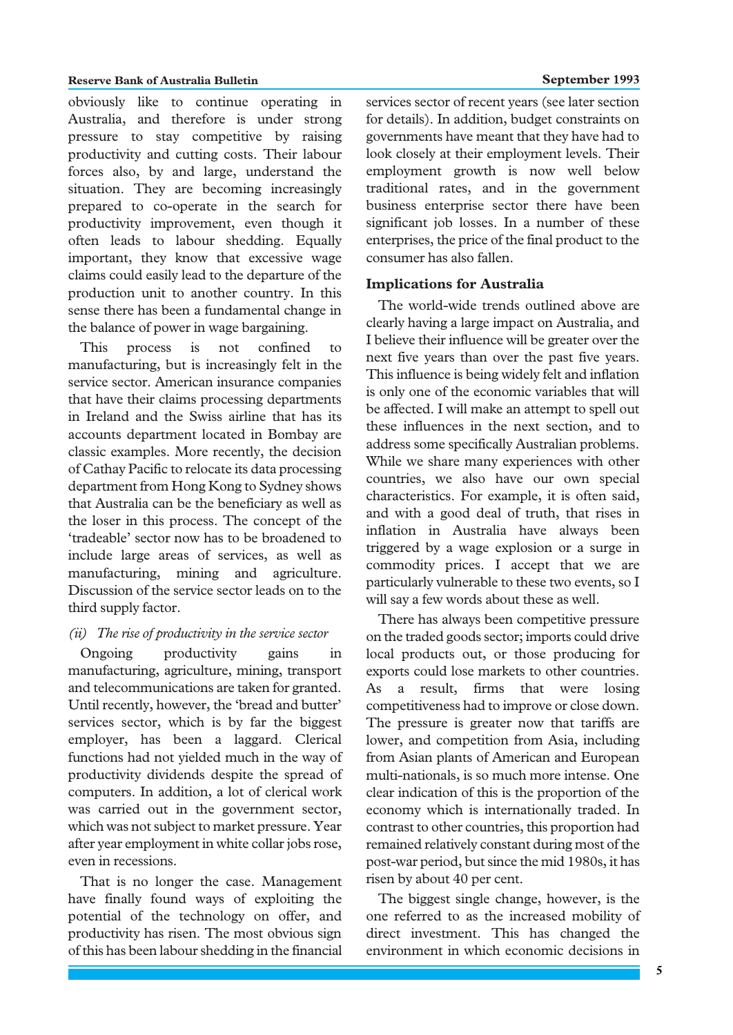#### **Reserve Bank of Australia Bulletin September 1993**

obviously like to continue operating in Australia, and therefore is under strong pressure to stay competitive by raising productivity and cutting costs. Their labour forces also, by and large, understand the situation. They are becoming increasingly prepared to co-operate in the search for productivity improvement, even though it often leads to labour shedding. Equally important, they know that excessive wage claims could easily lead to the departure of the production unit to another country. In this sense there has been a fundamental change in the balance of power in wage bargaining.

This process is not confined to manufacturing, but is increasingly felt in the service sector. American insurance companies that have their claims processing departments in Ireland and the Swiss airline that has its accounts department located in Bombay are classic examples. More recently, the decision of Cathay Pacific to relocate its data processing department from Hong Kong to Sydney shows that Australia can be the beneficiary as well as the loser in this process. The concept of the 'tradeable' sector now has to be broadened to include large areas of services, as well as manufacturing, mining and agriculture. Discussion of the service sector leads on to the third supply factor.

#### *(ii) The rise of productivity in the service sector*

Ongoing productivity gains in manufacturing, agriculture, mining, transport and telecommunications are taken for granted. Until recently, however, the 'bread and butter' services sector, which is by far the biggest employer, has been a laggard. Clerical functions had not yielded much in the way of productivity dividends despite the spread of computers. In addition, a lot of clerical work was carried out in the government sector, which was not subject to market pressure. Year after year employment in white collar jobs rose, even in recessions.

That is no longer the case. Management have finally found ways of exploiting the potential of the technology on offer, and productivity has risen. The most obvious sign of this has been labour shedding in the financial

services sector of recent years (see later section for details). In addition, budget constraints on governments have meant that they have had to look closely at their employment levels. Their employment growth is now well below traditional rates, and in the government business enterprise sector there have been significant job losses. In a number of these enterprises, the price of the final product to the consumer has also fallen.

# **Implications for Australia**

The world-wide trends outlined above are clearly having a large impact on Australia, and I believe their influence will be greater over the next five years than over the past five years. This influence is being widely felt and inflation is only one of the economic variables that will be affected. I will make an attempt to spell out these influences in the next section, and to address some specifically Australian problems. While we share many experiences with other countries, we also have our own special characteristics. For example, it is often said, and with a good deal of truth, that rises in inflation in Australia have always been triggered by a wage explosion or a surge in commodity prices. I accept that we are particularly vulnerable to these two events, so I will say a few words about these as well.

There has always been competitive pressure on the traded goods sector; imports could drive local products out, or those producing for exports could lose markets to other countries. As a result, firms that were losing competitiveness had to improve or close down. The pressure is greater now that tariffs are lower, and competition from Asia, including from Asian plants of American and European multi-nationals, is so much more intense. One clear indication of this is the proportion of the economy which is internationally traded. In contrast to other countries, this proportion had remained relatively constant during most of the post-war period, but since the mid 1980s, it has risen by about 40 per cent.

The biggest single change, however, is the one referred to as the increased mobility of direct investment. This has changed the environment in which economic decisions in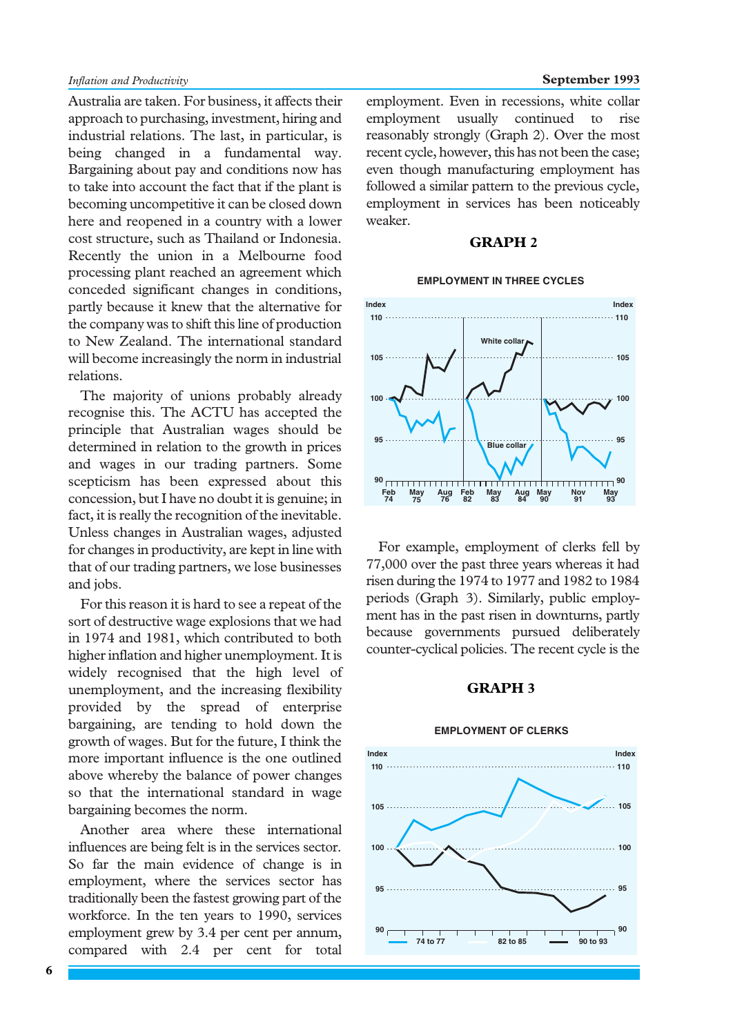Australia are taken. For business, it affects their approach to purchasing, investment, hiring and industrial relations. The last, in particular, is being changed in a fundamental way. Bargaining about pay and conditions now has to take into account the fact that if the plant is becoming uncompetitive it can be closed down here and reopened in a country with a lower cost structure, such as Thailand or Indonesia. Recently the union in a Melbourne food processing plant reached an agreement which conceded significant changes in conditions, partly because it knew that the alternative for the company was to shift this line of production to New Zealand. The international standard will become increasingly the norm in industrial relations.

The majority of unions probably already recognise this. The ACTU has accepted the principle that Australian wages should be determined in relation to the growth in prices and wages in our trading partners. Some scepticism has been expressed about this concession, but I have no doubt it is genuine; in fact, it is really the recognition of the inevitable. Unless changes in Australian wages, adjusted for changes in productivity, are kept in line with that of our trading partners, we lose businesses and jobs.

For this reason it is hard to see a repeat of the sort of destructive wage explosions that we had in 1974 and 1981, which contributed to both higher inflation and higher unemployment. It is widely recognised that the high level of unemployment, and the increasing flexibility provided by the spread of enterprise bargaining, are tending to hold down the growth of wages. But for the future, I think the more important influence is the one outlined above whereby the balance of power changes so that the international standard in wage bargaining becomes the norm.

Another area where these international influences are being felt is in the services sector. So far the main evidence of change is in employment, where the services sector has traditionally been the fastest growing part of the workforce. In the ten years to 1990, services employment grew by 3.4 per cent per annum, compared with 2.4 per cent for total

employment. Even in recessions, white collar employment usually continued to rise reasonably strongly (Graph 2). Over the most recent cycle, however, this has not been the case; even though manufacturing employment has followed a similar pattern to the previous cycle, employment in services has been noticeably weaker.

# **GRAPH 2**

#### **EMPLOYMENT IN THREE CYCLES**



For example, employment of clerks fell by 77,000 over the past three years whereas it had risen during the 1974 to 1977 and 1982 to 1984 periods (Graph 3). Similarly, public employment has in the past risen in downturns, partly because governments pursued deliberately counter-cyclical policies. The recent cycle is the

# **GRAPH 3**

#### **EMPLOYMENT OF CLERKS**

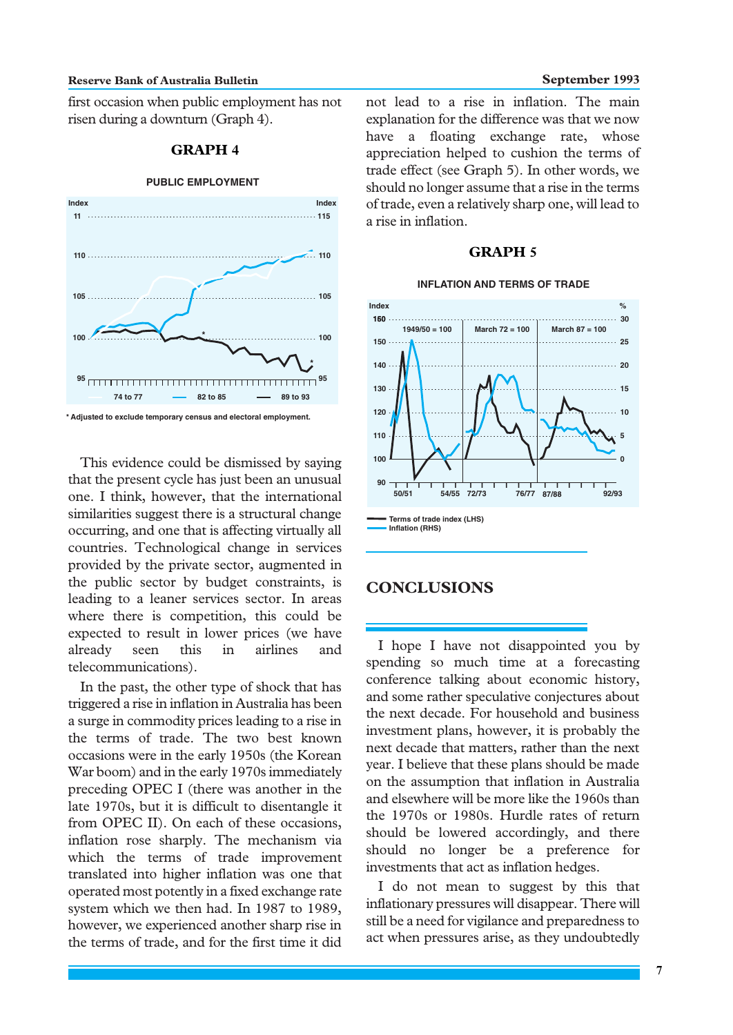#### **Reserve Bank of Australia Bulletin September 1993**

first occasion when public employment has not risen during a downturn (Graph 4).

# **GRAPH 4**

#### **PUBLIC EMPLOYMENT**



This evidence could be dismissed by saying that the present cycle has just been an unusual one. I think, however, that the international similarities suggest there is a structural change occurring, and one that is affecting virtually all countries. Technological change in services provided by the private sector, augmented in the public sector by budget constraints, is leading to a leaner services sector. In areas where there is competition, this could be expected to result in lower prices (we have already seen this in airlines and telecommunications).

In the past, the other type of shock that has triggered a rise in inflation in Australia has been a surge in commodity prices leading to a rise in the terms of trade. The two best known occasions were in the early 1950s (the Korean War boom) and in the early 1970s immediately preceding OPEC I (there was another in the late 1970s, but it is difficult to disentangle it from OPEC II). On each of these occasions, inflation rose sharply. The mechanism via which the terms of trade improvement translated into higher inflation was one that operated most potently in a fixed exchange rate system which we then had. In 1987 to 1989, however, we experienced another sharp rise in the terms of trade, and for the first time it did

not lead to a rise in inflation. The main explanation for the difference was that we now have a floating exchange rate, whose appreciation helped to cushion the terms of trade effect (see Graph 5). In other words, we should no longer assume that a rise in the terms of trade, even a relatively sharp one, will lead to a rise in inflation.

# **GRAPH 5**

#### **INFLATION AND TERMS OF TRADE**



# **CONCLUSIONS**

I hope I have not disappointed you by spending so much time at a forecasting conference talking about economic history, and some rather speculative conjectures about the next decade. For household and business investment plans, however, it is probably the next decade that matters, rather than the next year. I believe that these plans should be made on the assumption that inflation in Australia and elsewhere will be more like the 1960s than the 1970s or 1980s. Hurdle rates of return should be lowered accordingly, and there should no longer be a preference for investments that act as inflation hedges.

I do not mean to suggest by this that inflationary pressures will disappear. There will still be a need for vigilance and preparedness to act when pressures arise, as they undoubtedly